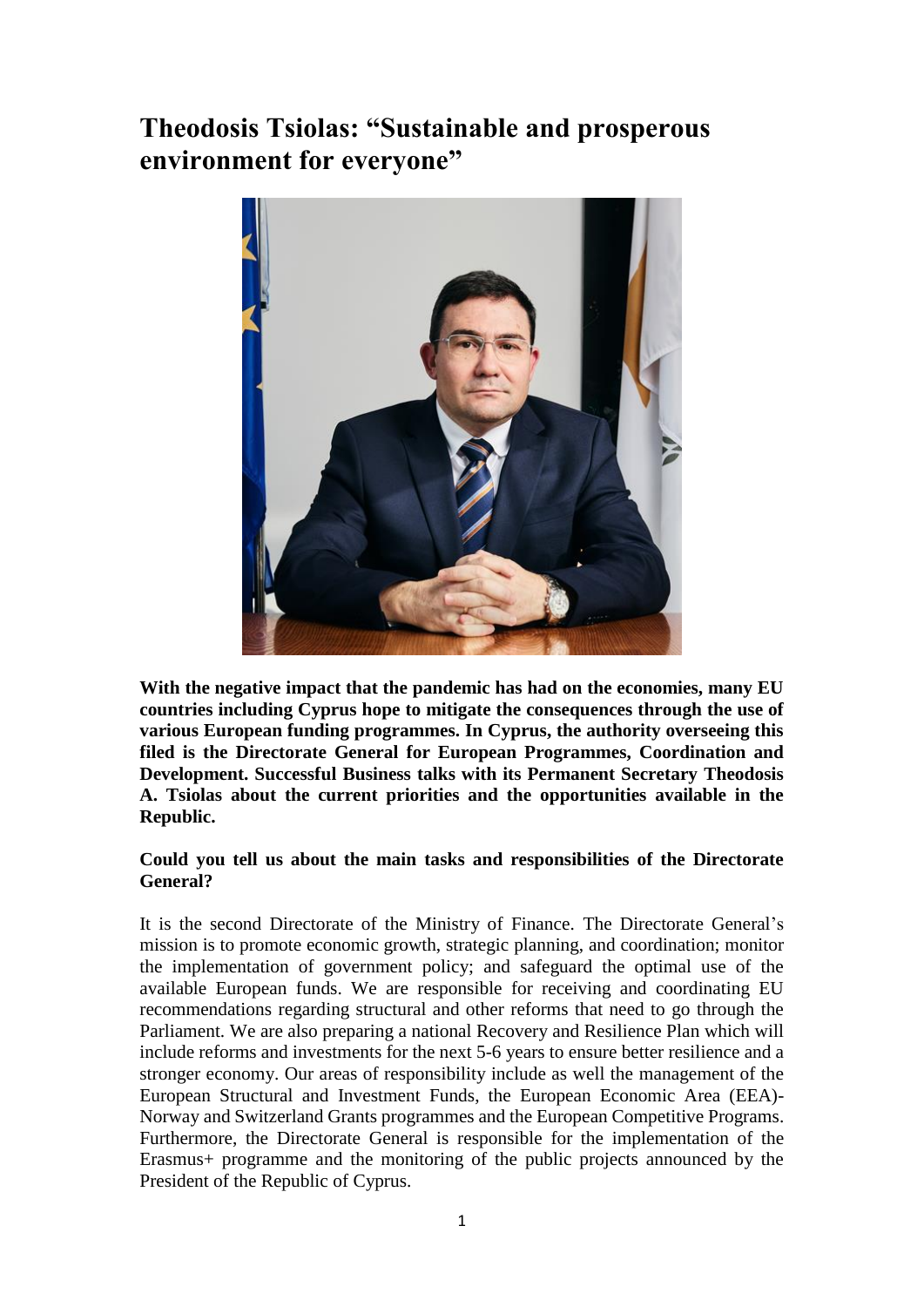# **Theodosis Tsiolas: "Sustainable and prosperous environment for everyone"**



**With the negative impact that the pandemic has had on the economies, many EU countries including Cyprus hope to mitigate the consequences through the use of various European funding programmes. In Cyprus, the authority overseeing this filed is the Directorate General for European Programmes, Coordination and Development. Successful Business talks with its Permanent Secretary Theodosis A. Tsiolas about the current priorities and the opportunities available in the Republic.**

## **Could you tell us about the main tasks and responsibilities of the Directorate General?**

It is the second Directorate of the Ministry of Finance. The Directorate General's mission is to promote economic growth, strategic planning, and coordination; monitor the implementation of government policy; and safeguard the optimal use of the available European funds. We are responsible for receiving and coordinating EU recommendations regarding structural and other reforms that need to go through the Parliament. We are also preparing a national Recovery and Resilience Plan which will include reforms and investments for the next 5-6 years to ensure better resilience and a stronger economy. Our areas of responsibility include as well the management of the European Structural and Investment Funds, the European Economic Area (EEA)- Norway and Switzerland Grants programmes and the European Competitive Programs. Furthermore, the Directorate General is responsible for the implementation of the Erasmus+ programme and the monitoring of the public projects announced by the President of the Republic of Cyprus.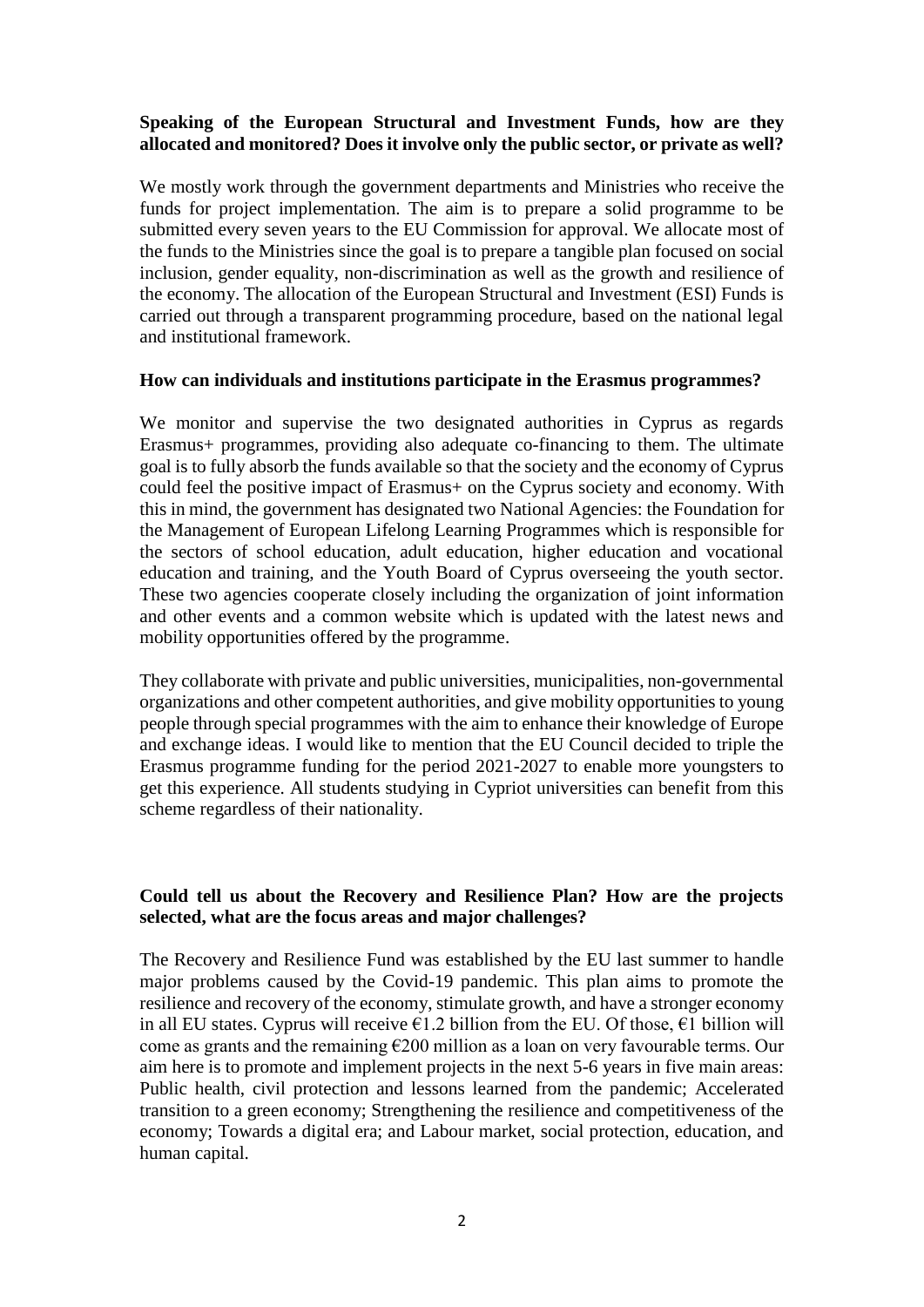## **Speaking of the European Structural and Investment Funds, how are they allocated and monitored? Does it involve only the public sector, or private as well?**

We mostly work through the government departments and Ministries who receive the funds for project implementation. The aim is to prepare a solid programme to be submitted every seven years to the EU Commission for approval. We allocate most of the funds to the Ministries since the goal is to prepare a tangible plan focused on social inclusion, gender equality, non-discrimination as well as the growth and resilience of the economy. The allocation of the European Structural and Investment (ESI) Funds is carried out through a transparent programming procedure, based on the national legal and institutional framework.

#### **How can individuals and institutions participate in the Erasmus programmes?**

We monitor and supervise the two designated authorities in Cyprus as regards Erasmus+ programmes, providing also adequate co-financing to them. The ultimate goal is to fully absorb the funds available so that the society and the economy of Cyprus could feel the positive impact of Erasmus+ on the Cyprus society and economy. With this in mind, the government has designated two National Agencies: the Foundation for the Management of European Lifelong Learning Programmes which is responsible for the sectors of school education, adult education, higher education and vocational education and training, and the Youth Board of Cyprus overseeing the youth sector. These two agencies cooperate closely including the organization of joint information and other events and a common website which is updated with the latest news and mobility opportunities offered by the programme.

They collaborate with private and public universities, municipalities, non-governmental organizations and other competent authorities, and give mobility opportunities to young people through special programmes with the aim to enhance their knowledge of Europe and exchange ideas. I would like to mention that the EU Council decided to triple the Erasmus programme funding for the period 2021-2027 to enable more youngsters to get this experience. All students studying in Cypriot universities can benefit from this scheme regardless of their nationality.

## **Could tell us about the Recovery and Resilience Plan? How are the projects selected, what are the focus areas and major challenges?**

The Recovery and Resilience Fund was established by the EU last summer to handle major problems caused by the Covid-19 pandemic. This plan aims to promote the resilience and recovery of the economy, stimulate growth, and have a stronger economy in all EU states. Cyprus will receive  $\epsilon$ 1.2 billion from the EU. Of those,  $\epsilon$ 1 billion will come as grants and the remaining  $E200$  million as a loan on very favourable terms. Our aim here is to promote and implement projects in the next 5-6 years in five main areas: Public health, civil protection and lessons learned from the pandemic; Accelerated transition to a green economy; Strengthening the resilience and competitiveness of the economy; Towards a digital era; and Labour market, social protection, education, and human capital.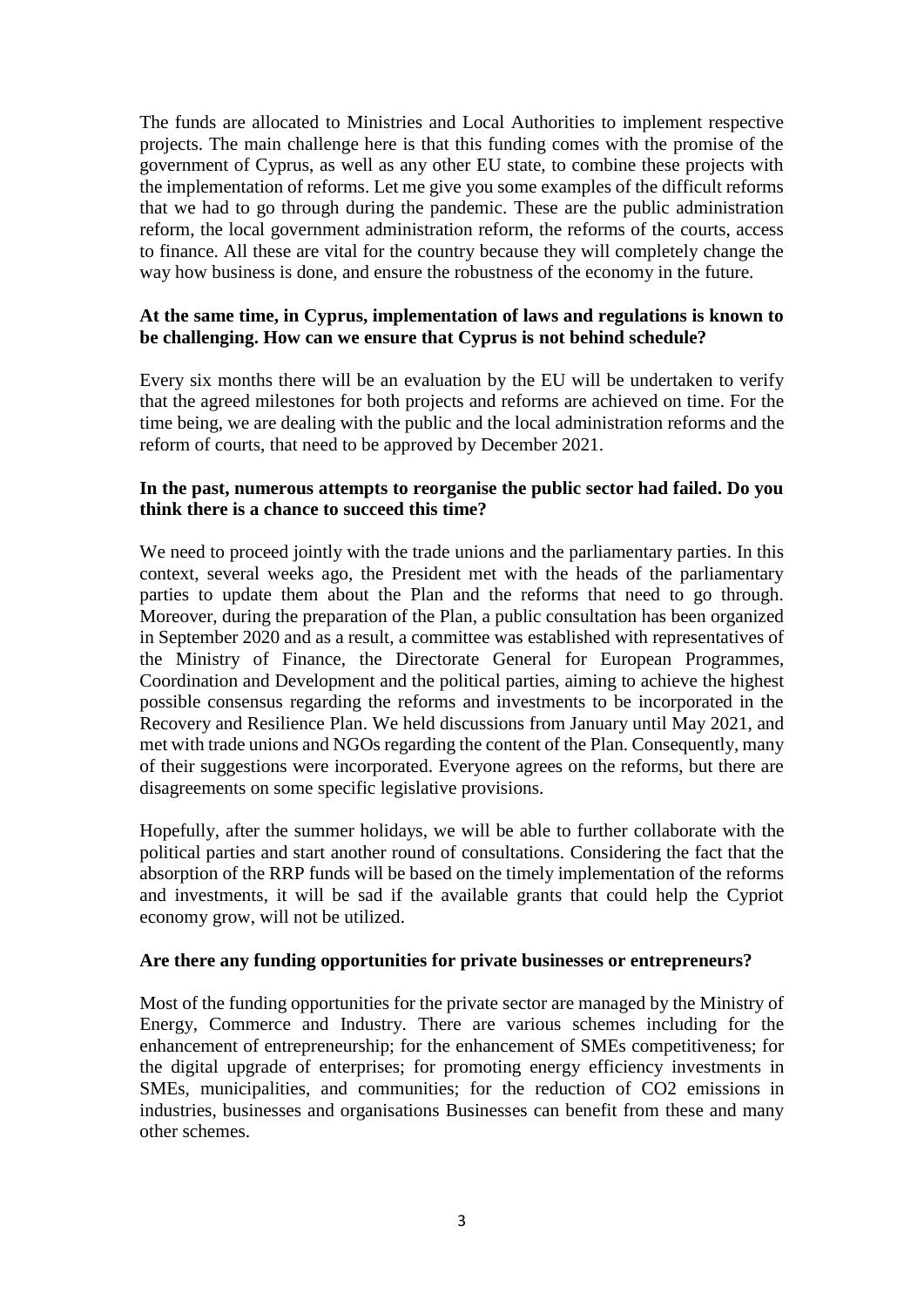The funds are allocated to Ministries and Local Authorities to implement respective projects. The main challenge here is that this funding comes with the promise of the government of Cyprus, as well as any other EU state, to combine these projects with the implementation of reforms. Let me give you some examples of the difficult reforms that we had to go through during the pandemic. These are the public administration reform, the local government administration reform, the reforms of the courts, access to finance. All these are vital for the country because they will completely change the way how business is done, and ensure the robustness of the economy in the future.

## **At the same time, in Cyprus, implementation of laws and regulations is known to be challenging. How can we ensure that Cyprus is not behind schedule?**

Every six months there will be an evaluation by the EU will be undertaken to verify that the agreed milestones for both projects and reforms are achieved on time. For the time being, we are dealing with the public and the local administration reforms and the reform of courts, that need to be approved by December 2021.

## **In the past, numerous attempts to reorganise the public sector had failed. Do you think there is a chance to succeed this time?**

We need to proceed jointly with the trade unions and the parliamentary parties. In this context, several weeks ago, the President met with the heads of the parliamentary parties to update them about the Plan and the reforms that need to go through. Moreover, during the preparation of the Plan, a public consultation has been organized in September 2020 and as a result, a committee was established with representatives of the Ministry of Finance, the Directorate General for European Programmes, Coordination and Development and the political parties, aiming to achieve the highest possible consensus regarding the reforms and investments to be incorporated in the Recovery and Resilience Plan. We held discussions from January until May 2021, and met with trade unions and NGOs regarding the content of the Plan. Consequently, many of their suggestions were incorporated. Everyone agrees on the reforms, but there are disagreements on some specific legislative provisions.

Hopefully, after the summer holidays, we will be able to further collaborate with the political parties and start another round of consultations. Considering the fact that the absorption of the RRP funds will be based on the timely implementation of the reforms and investments, it will be sad if the available grants that could help the Cypriot economy grow, will not be utilized.

#### **Are there any funding opportunities for private businesses or entrepreneurs?**

Most of the funding opportunities for the private sector are managed by the Ministry of Energy, Commerce and Industry. There are various schemes including for the enhancement of entrepreneurship; for the enhancement of SMEs competitiveness; for the digital upgrade of enterprises; for promoting energy efficiency investments in SMEs, municipalities, and communities; for the reduction of CO2 emissions in industries, businesses and organisations Businesses can benefit from these and many other schemes.